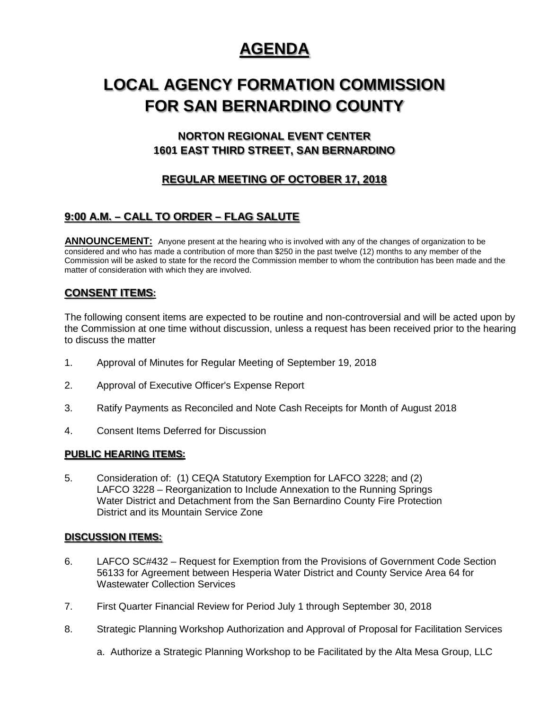## **AGENDA**

# **LOCAL AGENCY FORMATION COMMISSION FOR SAN BERNARDINO COUNTY**

## **NORTON REGIONAL EVENT CENTER 1601 EAST THIRD STREET, SAN BERNARDINO**

## **REGULAR MEETING OF OCTOBER 17, 2018**

## **9:00 A.M. – CALL TO ORDER – FLAG SALUTE**

**ANNOUNCEMENT:** Anyone present at the hearing who is involved with any of the changes of organization to be considered and who has made a contribution of more than \$250 in the past twelve (12) months to any member of the Commission will be asked to state for the record the Commission member to whom the contribution has been made and the matter of consideration with which they are involved.

### **CONSENT ITEMS:**

The following consent items are expected to be routine and non-controversial and will be acted upon by the Commission at one time without discussion, unless a request has been received prior to the hearing to discuss the matter

- 1. Approval of Minutes for Regular Meeting of September 19, 2018
- 2. Approval of Executive Officer's Expense Report
- 3. Ratify Payments as Reconciled and Note Cash Receipts for Month of August 2018
- 4. Consent Items Deferred for Discussion

#### **PUBLIC HEARING ITEMS:**

5. Consideration of: (1) CEQA Statutory Exemption for LAFCO 3228; and (2) LAFCO 3228 – Reorganization to Include Annexation to the Running Springs Water District and Detachment from the San Bernardino County Fire Protection District and its Mountain Service Zone

#### **DISCUSSION ITEMS:**

- 6. LAFCO SC#432 Request for Exemption from the Provisions of Government Code Section 56133 for Agreement between Hesperia Water District and County Service Area 64 for Wastewater Collection Services
- 7. First Quarter Financial Review for Period July 1 through September 30, 2018
- 8. Strategic Planning Workshop Authorization and Approval of Proposal for Facilitation Services
	- a. Authorize a Strategic Planning Workshop to be Facilitated by the Alta Mesa Group, LLC